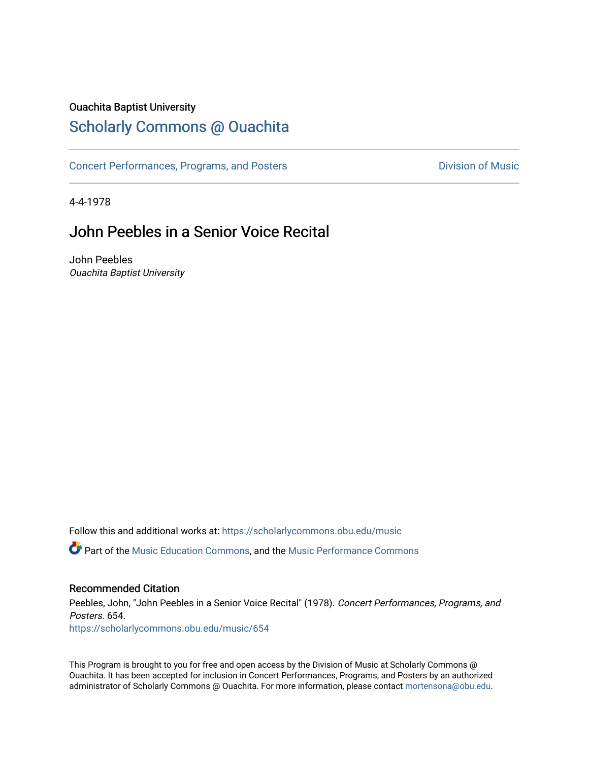### Ouachita Baptist University

### [Scholarly Commons @ Ouachita](https://scholarlycommons.obu.edu/)

[Concert Performances, Programs, and Posters](https://scholarlycommons.obu.edu/music) **Division of Music** Division of Music

4-4-1978

### John Peebles in a Senior Voice Recital

John Peebles Ouachita Baptist University

Follow this and additional works at: [https://scholarlycommons.obu.edu/music](https://scholarlycommons.obu.edu/music?utm_source=scholarlycommons.obu.edu%2Fmusic%2F654&utm_medium=PDF&utm_campaign=PDFCoverPages)  **C** Part of the [Music Education Commons,](http://network.bepress.com/hgg/discipline/1246?utm_source=scholarlycommons.obu.edu%2Fmusic%2F654&utm_medium=PDF&utm_campaign=PDFCoverPages) and the Music Performance Commons

#### Recommended Citation

Peebles, John, "John Peebles in a Senior Voice Recital" (1978). Concert Performances, Programs, and Posters. 654. [https://scholarlycommons.obu.edu/music/654](https://scholarlycommons.obu.edu/music/654?utm_source=scholarlycommons.obu.edu%2Fmusic%2F654&utm_medium=PDF&utm_campaign=PDFCoverPages) 

This Program is brought to you for free and open access by the Division of Music at Scholarly Commons @ Ouachita. It has been accepted for inclusion in Concert Performances, Programs, and Posters by an authorized administrator of Scholarly Commons @ Ouachita. For more information, please contact [mortensona@obu.edu](mailto:mortensona@obu.edu).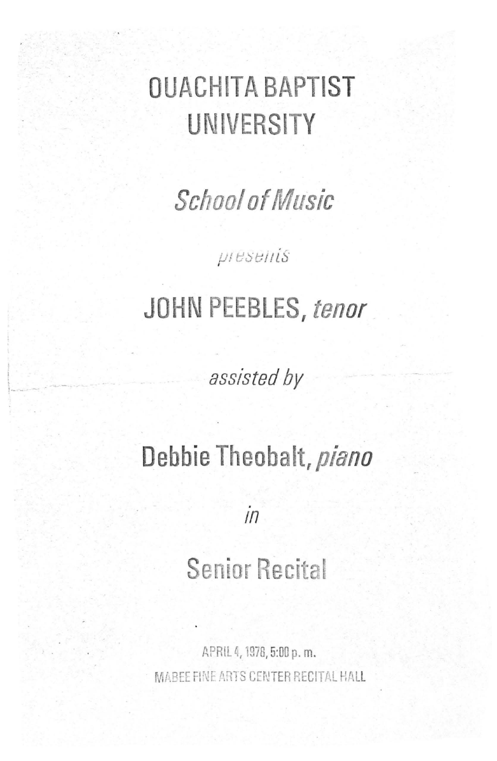# **OUACHITA BAPTIST UNIVERSITY**

School of *Music* 

 $\mu$ <sub>I</sub> $\epsilon$ <sub>Se $\mu$ is</sub>

## **JOHN PEEBLES,** *tenor*

*assisted by* 

 $1 - \frac{1}{2}$ 

## **Debbie Theobalt,** *piano*

 $in$ 

# **Senior Recital**

APRIL 4, 1978, 5:00 p. m. MABEE FINE ARTS CENTER RECITAL HALL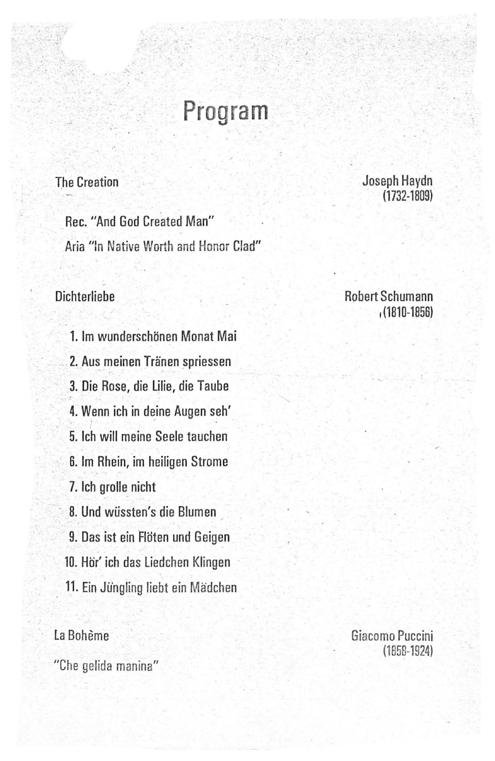## **Program**

### The Creation

 $\mathbb{R}$  :

Rec. "And God Created Man" Aria "In Native Worth and Honor Clad"

### **Dichterliehe**

1. lm wunderschtinen Monat Mai 2. Aus meinen Tränen spriessen 3. Die Rose, die lilie, die Taube 4. Wenn ich in deine Augen seh' 5. lch will meine Seele tauchen 6. lm Rhein, im heiligen Strome 7. lch grolle nicht 8. Und wussten's die Blumen 9. Das ist ein Flöten und Geigen 10. Hör' ich das Liedchen Klingen 11. Ein Jüngling liebt ein Mädchen

### la Boheme

"Che gelida manina"

Joseph Haydn (1732-1809)

#### Robert Schumann I (1810-1856)

Giacomo Puccini (1858-1924)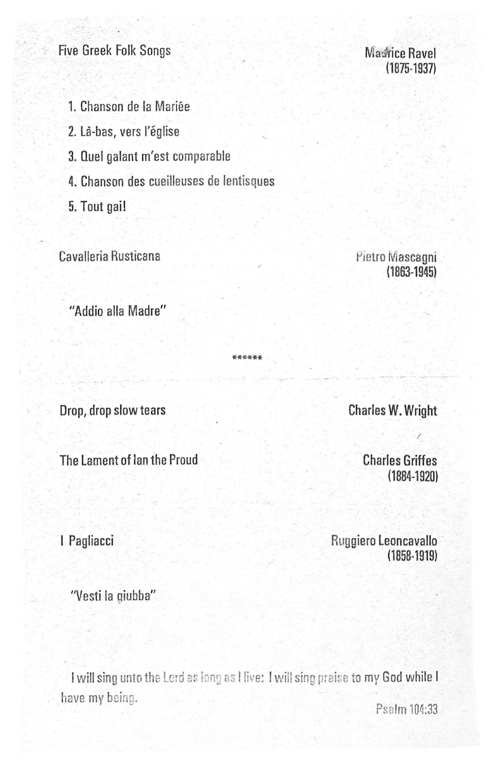### **Five Greek Folk Songs**

### **Madrice Ravel**  $(1875 - 1937)$

1. Chanson de la Mariée

2. Là-bas, vers l'église

3. Quel galant m'est comparable

4. Chanson des cueilleuses de lentisques

5. Tout gai!

Cavalleria Rusticana

Pietro Mascagni  $(1863 - 1945)$ 

"Addio alla Madre"

Drop, drop slow tears

The Lament of lan the Proud

I Pagliacci

Ruggiero Leoncavallo  $(1858 - 1919)$ 

"Vesti la giubba"

I will sing unto the Lord as long as I live: I will sing praise to my God while I have my being. Psalm 104:33

**Charles W. Wright** 

**Charles Griffes**  $(1884 - 1920)$ 

\*\*\*\*\*\*